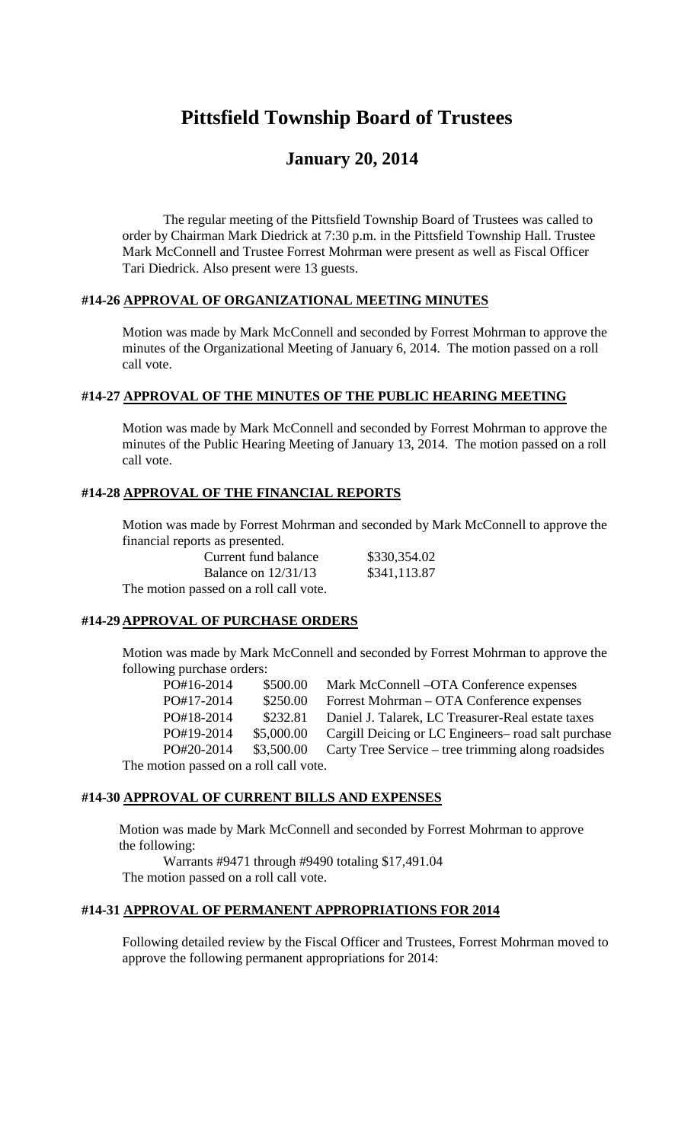# **Pittsfield Township Board of Trustees**

# **January 20, 2014**

The regular meeting of the Pittsfield Township Board of Trustees was called to order by Chairman Mark Diedrick at 7:30 p.m. in the Pittsfield Township Hall. Trustee Mark McConnell and Trustee Forrest Mohrman were present as well as Fiscal Officer Tari Diedrick. Also present were 13 guests.

#### **#14-26 APPROVAL OF ORGANIZATIONAL MEETING MINUTES**

Motion was made by Mark McConnell and seconded by Forrest Mohrman to approve the minutes of the Organizational Meeting of January 6, 2014. The motion passed on a roll call vote.

#### **#14-27 APPROVAL OF THE MINUTES OF THE PUBLIC HEARING MEETING**

Motion was made by Mark McConnell and seconded by Forrest Mohrman to approve the minutes of the Public Hearing Meeting of January 13, 2014. The motion passed on a roll call vote.

#### **#14-28 APPROVAL OF THE FINANCIAL REPORTS**

Motion was made by Forrest Mohrman and seconded by Mark McConnell to approve the financial reports as presented.

Current fund balance \$330,354.02 Balance on 12/31/13 \$341,113.87 The motion passed on a roll call vote.

# **#14-29 APPROVAL OF PURCHASE ORDERS**

Motion was made by Mark McConnell and seconded by Forrest Mohrman to approve the following purchase orders:

| PO#16-2014                             | \$500.00   | Mark McConnell –OTA Conference expenses             |  |
|----------------------------------------|------------|-----------------------------------------------------|--|
| PO#17-2014                             | \$250.00   | Forrest Mohrman – OTA Conference expenses           |  |
| PO#18-2014                             | \$232.81   | Daniel J. Talarek, LC Treasurer-Real estate taxes   |  |
| PO#19-2014                             | \$5,000.00 | Cargill Deicing or LC Engineers– road salt purchase |  |
| PO#20-2014                             | \$3,500.00 | Carty Tree Service – tree trimming along roadsides  |  |
| The motion passed on a roll call vote. |            |                                                     |  |

#### **#14-30 APPROVAL OF CURRENT BILLS AND EXPENSES**

Motion was made by Mark McConnell and seconded by Forrest Mohrman to approve the following:

Warrants #9471 through #9490 totaling \$17,491.04 The motion passed on a roll call vote.

#### **#14-31 APPROVAL OF PERMANENT APPROPRIATIONS FOR 2014**

Following detailed review by the Fiscal Officer and Trustees, Forrest Mohrman moved to approve the following permanent appropriations for 2014: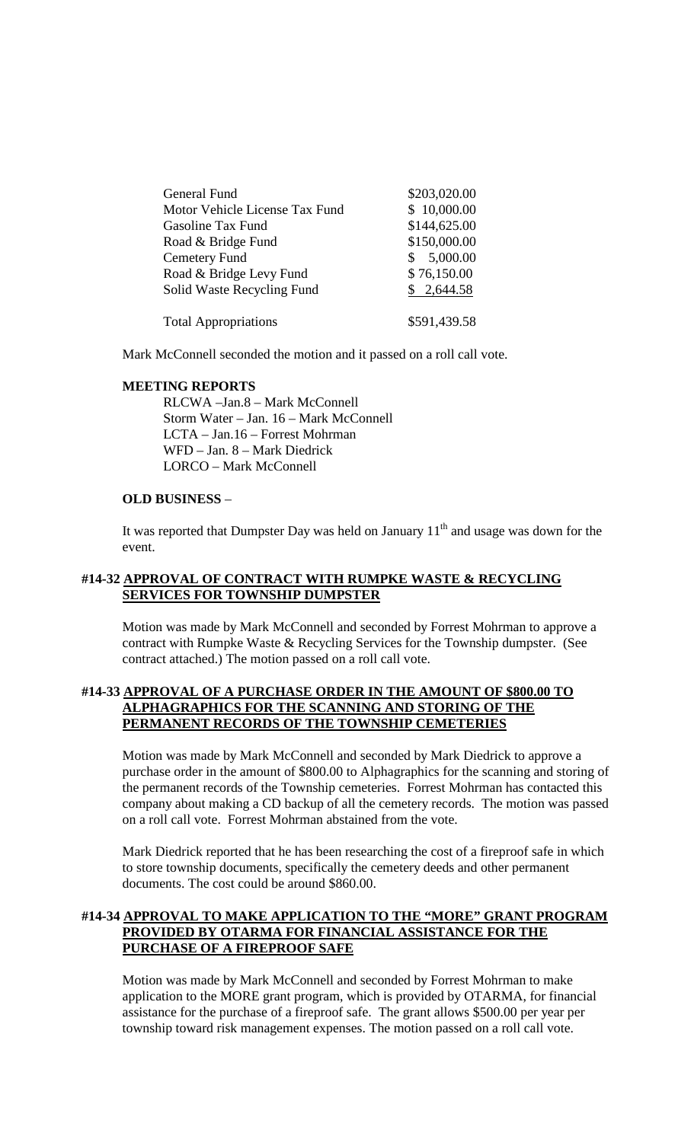| General Fund                   | \$203,020.00   |
|--------------------------------|----------------|
| Motor Vehicle License Tax Fund | \$10,000.00    |
| Gasoline Tax Fund              | \$144,625.00   |
| Road & Bridge Fund             | \$150,000.00   |
| Cemetery Fund                  | 5,000.00<br>S. |
| Road & Bridge Levy Fund        | \$76,150.00    |
| Solid Waste Recycling Fund     | \$2,644.58     |
| <b>Total Appropriations</b>    | \$591,439.58   |

Mark McConnell seconded the motion and it passed on a roll call vote.

#### **MEETING REPORTS**

RLCWA –Jan.8 – Mark McConnell Storm Water – Jan. 16 – Mark McConnell LCTA – Jan.16 – Forrest Mohrman WFD – Jan. 8 – Mark Diedrick LORCO – Mark McConnell

#### **OLD BUSINESS** –

It was reported that Dumpster Day was held on January  $11<sup>th</sup>$  and usage was down for the event.

#### **#14-32 APPROVAL OF CONTRACT WITH RUMPKE WASTE & RECYCLING SERVICES FOR TOWNSHIP DUMPSTER**

Motion was made by Mark McConnell and seconded by Forrest Mohrman to approve a contract with Rumpke Waste & Recycling Services for the Township dumpster. (See contract attached.) The motion passed on a roll call vote.

#### **#14-33 APPROVAL OF A PURCHASE ORDER IN THE AMOUNT OF \$800.00 TO ALPHAGRAPHICS FOR THE SCANNING AND STORING OF THE PERMANENT RECORDS OF THE TOWNSHIP CEMETERIES**

Motion was made by Mark McConnell and seconded by Mark Diedrick to approve a purchase order in the amount of \$800.00 to Alphagraphics for the scanning and storing of the permanent records of the Township cemeteries. Forrest Mohrman has contacted this company about making a CD backup of all the cemetery records. The motion was passed on a roll call vote. Forrest Mohrman abstained from the vote.

Mark Diedrick reported that he has been researching the cost of a fireproof safe in which to store township documents, specifically the cemetery deeds and other permanent documents. The cost could be around \$860.00.

## **#14-34 APPROVAL TO MAKE APPLICATION TO THE "MORE" GRANT PROGRAM PROVIDED BY OTARMA FOR FINANCIAL ASSISTANCE FOR THE PURCHASE OF A FIREPROOF SAFE**

Motion was made by Mark McConnell and seconded by Forrest Mohrman to make application to the MORE grant program, which is provided by OTARMA, for financial assistance for the purchase of a fireproof safe. The grant allows \$500.00 per year per township toward risk management expenses. The motion passed on a roll call vote.